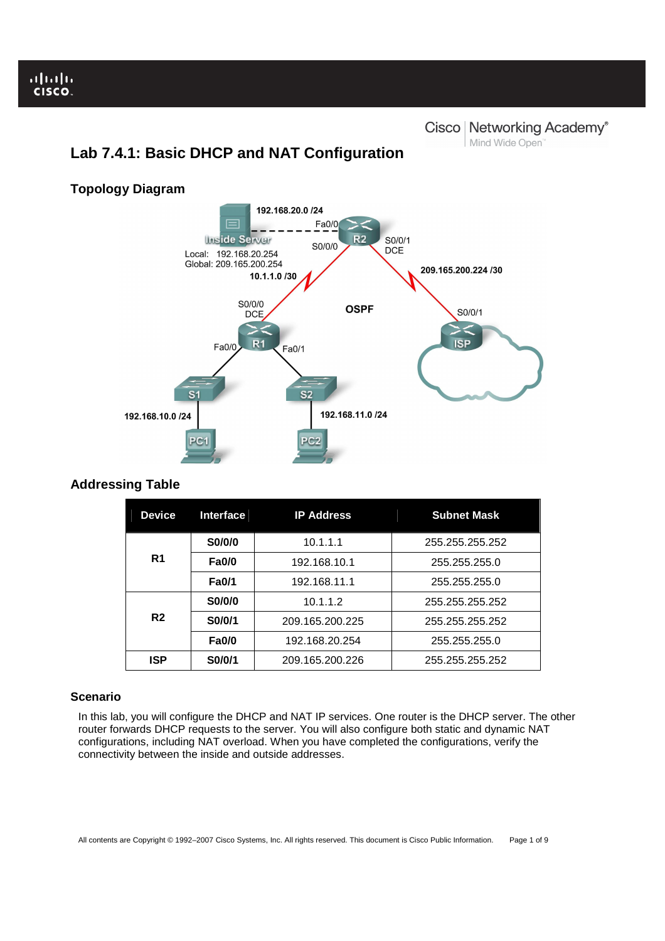I

# **Lab 7.4.1: Basic DHCP and NAT Configuration**

# **Cisco | Networking Academy®** Mind Wide Open<sup>"</sup>

#### 192.168.20.0 /24 ⊫  $Fa0/0$ Inside Server  $R<sub>2</sub>$ S0/0/1 S0/0/0 **DCE** Local: 192.168.20.254 Global: 209.165.200.254 209.165.200.224 /30 10.1.1.0 /30 S0/0/0 **OSPF** S0/0/1 **DCE**  $\geq$  $R<sub>1</sub>$ **ISP** Fa0/0 Fa0/1 e. 192.168.10.0 /24 192.168.11.0 /24

# **Addressing Table**

**Topology Diagram** 

| <b>Device</b>  | <b>Interface</b> | <b>IP Address</b> | <b>Subnet Mask</b> |
|----------------|------------------|-------------------|--------------------|
|                | S0/0/0           | 10.1.1.1          | 255.255.255.252    |
| R <sub>1</sub> | <b>Fa0/0</b>     | 192.168.10.1      | 255,255,255.0      |
|                | <b>Fa0/1</b>     | 192.168.11.1      | 255.255.255.0      |
| R <sub>2</sub> | S0/0/0           | 10.1.1.2          | 255.255.255.252    |
|                | S0/0/1           | 209.165.200.225   | 255.255.255.252    |
|                | <b>Fa0/0</b>     | 192.168.20.254    | 255.255.255.0      |
| <b>ISP</b>     | S0/0/1           | 209.165.200.226   | 255.255.255.252    |

# **Scenario**

In this lab, you will configure the DHCP and NAT IP services. One router is the DHCP server. The other router forwards DHCP requests to the server. You will also configure both static and dynamic NAT configurations, including NAT overload. When you have completed the configurations, verify the connectivity between the inside and outside addresses.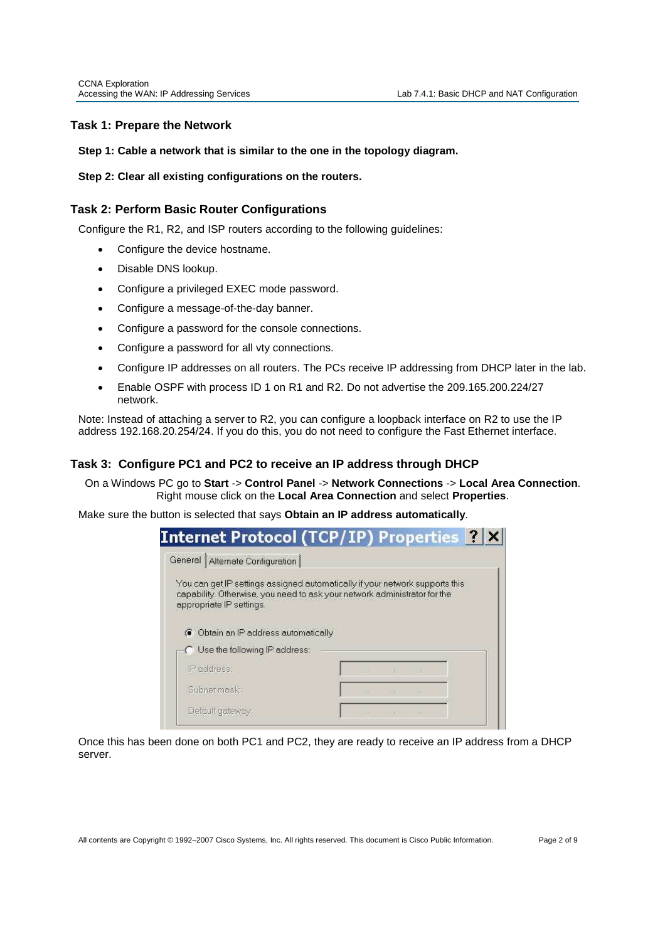# **Task 1: Prepare the Network**

## **Step 1: Cable a network that is similar to the one in the topology diagram.**

## **Step 2: Clear all existing configurations on the routers.**

# **Task 2: Perform Basic Router Configurations**

Configure the R1, R2, and ISP routers according to the following guidelines:

- Configure the device hostname.
- Disable DNS lookup.
- Configure a privileged EXEC mode password.
- Configure a message-of-the-day banner.
- Configure a password for the console connections.
- Configure a password for all vty connections.
- Configure IP addresses on all routers. The PCs receive IP addressing from DHCP later in the lab.
- Enable OSPF with process ID 1 on R1 and R2. Do not advertise the 209.165.200.224/27 network.

Note: Instead of attaching a server to R2, you can configure a loopback interface on R2 to use the IP address 192.168.20.254/24. If you do this, you do not need to configure the Fast Ethernet interface.

# **Task 3: Configure PC1 and PC2 to receive an IP address through DHCP**

On a Windows PC go to **Start** -> **Control Panel** -> **Network Connections** -> **Local Area Connection**. Right mouse click on the **Local Area Connection** and select **Properties**.

Make sure the button is selected that says **Obtain an IP address automatically**.

|                                                                                                                                                                                       |     | <b>Internet Protocol (TCP/IP) Properties 2 X</b> |
|---------------------------------------------------------------------------------------------------------------------------------------------------------------------------------------|-----|--------------------------------------------------|
| General Alternate Configuration                                                                                                                                                       |     |                                                  |
| You can get IP settings assigned automatically if your network supports this<br>capability. Otherwise, you need to ask your network administrator for the<br>appropriate IP settings. |     |                                                  |
|                                                                                                                                                                                       |     |                                                  |
| C Obtain an IP address automatically                                                                                                                                                  |     |                                                  |
| Use the following IP address:                                                                                                                                                         |     |                                                  |
| IP address:                                                                                                                                                                           | 7.4 |                                                  |
| Subnet mask:                                                                                                                                                                          | 近   |                                                  |

Once this has been done on both PC1 and PC2, they are ready to receive an IP address from a DHCP server.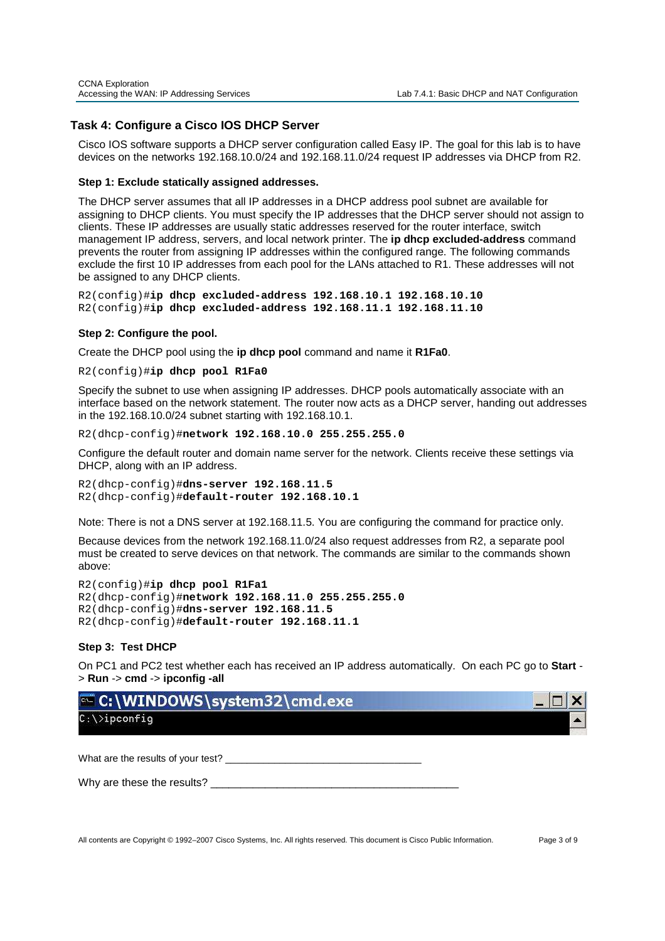# **Task 4: Configure a Cisco IOS DHCP Server**

Cisco IOS software supports a DHCP server configuration called Easy IP. The goal for this lab is to have devices on the networks 192.168.10.0/24 and 192.168.11.0/24 request IP addresses via DHCP from R2.

#### **Step 1: Exclude statically assigned addresses.**

The DHCP server assumes that all IP addresses in a DHCP address pool subnet are available for assigning to DHCP clients. You must specify the IP addresses that the DHCP server should not assign to clients. These IP addresses are usually static addresses reserved for the router interface, switch management IP address, servers, and local network printer. The **ip dhcp excluded-address** command prevents the router from assigning IP addresses within the configured range. The following commands exclude the first 10 IP addresses from each pool for the LANs attached to R1. These addresses will not be assigned to any DHCP clients.

R2(config)#**ip dhcp excluded-address 192.168.10.1 192.168.10.10** R2(config)#**ip dhcp excluded-address 192.168.11.1 192.168.11.10**

## **Step 2: Configure the pool.**

Create the DHCP pool using the **ip dhcp pool** command and name it **R1Fa0**.

R2(config)#**ip dhcp pool R1Fa0**

Specify the subnet to use when assigning IP addresses. DHCP pools automatically associate with an interface based on the network statement. The router now acts as a DHCP server, handing out addresses in the 192.168.10.0/24 subnet starting with 192.168.10.1.

R2(dhcp-config)#**network 192.168.10.0 255.255.255.0**

Configure the default router and domain name server for the network. Clients receive these settings via DHCP, along with an IP address.

R2(dhcp-config)#**dns-server 192.168.11.5**  R2(dhcp-config)#**default-router 192.168.10.1** 

Note: There is not a DNS server at 192.168.11.5. You are configuring the command for practice only.

Because devices from the network 192.168.11.0/24 also request addresses from R2, a separate pool must be created to serve devices on that network. The commands are similar to the commands shown above:

```
R2(config)#ip dhcp pool R1Fa1 
R2(dhcp-config)#network 192.168.11.0 255.255.255.0
R2(dhcp-config)#dns-server 192.168.11.5
R2(dhcp-config)#default-router 192.168.11.1
```
## **Step 3: Test DHCP**

On PC1 and PC2 test whether each has received an IP address automatically. On each PC go to **Start** - > **Run** -> **cmd** -> **ipconfig -all**

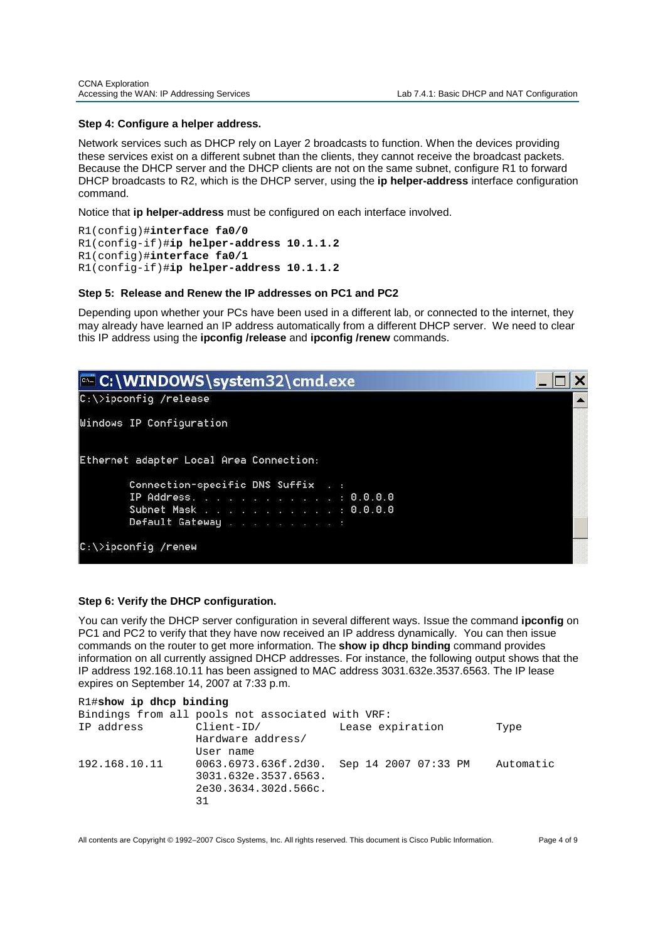## **Step 4: Configure a helper address.**

Network services such as DHCP rely on Layer 2 broadcasts to function. When the devices providing these services exist on a different subnet than the clients, they cannot receive the broadcast packets. Because the DHCP server and the DHCP clients are not on the same subnet, configure R1 to forward DHCP broadcasts to R2, which is the DHCP server, using the **ip helper-address** interface configuration command.

Notice that **ip helper-address** must be configured on each interface involved.

```
R1(config)#interface fa0/0
R1(config-if)#ip helper-address 10.1.1.2 
R1(config)#interface fa0/1
R1(config-if)#ip helper-address 10.1.1.2
```
## **Step 5: Release and Renew the IP addresses on PC1 and PC2**

Depending upon whether your PCs have been used in a different lab, or connected to the internet, they may already have learned an IP address automatically from a different DHCP server. We need to clear this IP address using the **ipconfig /release** and **ipconfig /renew** commands.

| C:\WINDOWS\system32\cmd.exe             |  |
|-----------------------------------------|--|
| $C:\$ ipconfig /release                 |  |
| Windows IP Configuration                |  |
| Ethernet adapter Local Area Connection: |  |
| Connection-specific DNS Suffix ::       |  |
| IP Address. 0.0.0.0                     |  |
| Subnet Mask 0.0.0.0                     |  |
| Default Gateway                         |  |
| $C:\$ ipconfig /renew                   |  |

## **Step 6: Verify the DHCP configuration.**

You can verify the DHCP server configuration in several different ways. Issue the command **ipconfig** on PC1 and PC2 to verify that they have now received an IP address dynamically. You can then issue commands on the router to get more information. The **show ip dhcp binding** command provides information on all currently assigned DHCP addresses. For instance, the following output shows that the IP address 192.168.10.11 has been assigned to MAC address 3031.632e.3537.6563. The IP lease expires on September 14, 2007 at 7:33 p.m.

| R1#show ip dhcp binding                          |                                           |                  |           |  |  |  |
|--------------------------------------------------|-------------------------------------------|------------------|-----------|--|--|--|
| Bindings from all pools not associated with VRF: |                                           |                  |           |  |  |  |
| IP address                                       | Client-ID/                                | Lease expiration | Type      |  |  |  |
|                                                  | Hardware address/                         |                  |           |  |  |  |
|                                                  | User name                                 |                  |           |  |  |  |
| 192.168.10.11                                    | 0063.6973.636f.2d30. Sep 14 2007 07:33 PM |                  | Automatic |  |  |  |
|                                                  | 3031.632e.3537.6563.                      |                  |           |  |  |  |
|                                                  | 2e30.3634.302d.566c.                      |                  |           |  |  |  |
|                                                  | 31                                        |                  |           |  |  |  |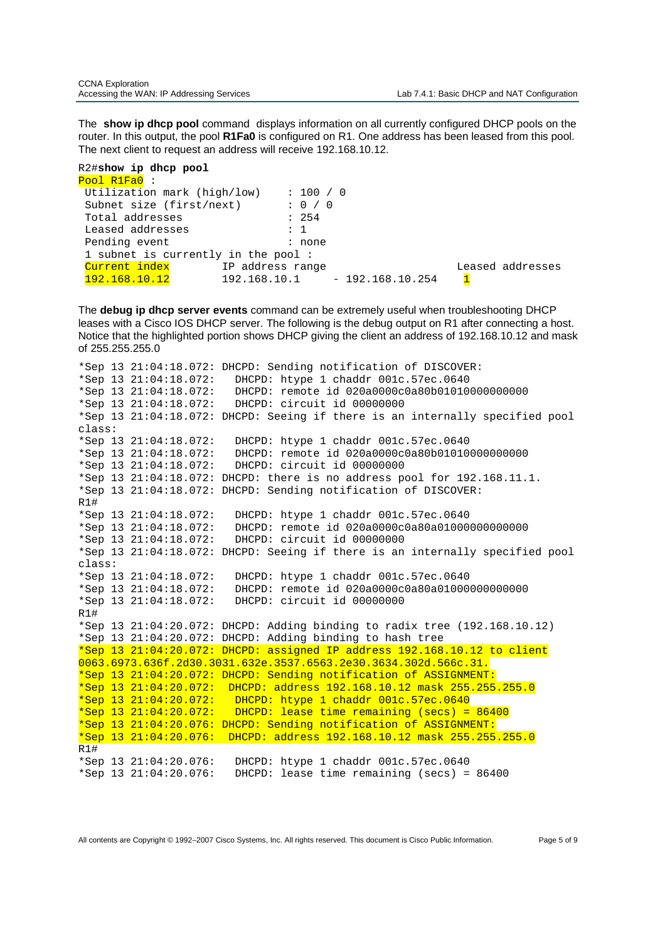The **show ip dhcp pool** command displays information on all currently configured DHCP pools on the router. In this output, the pool **R1Fa0** is configured on R1. One address has been leased from this pool. The next client to request an address will receive 192.168.10.12.

```
R2#show ip dhcp pool
Pool R1Fa0 :
 Utilization mark (high/low) : 100 / 0<br>Subnet size (first/next) : 0 / 0
 Subnet size (first/next) : 0 /<br>Total addresses : 254
 Total addresses
  Leased addresses : 1 
 Pending event : none
  1 subnet is currently in the pool : 
 Current index       IP address range               Leased addresses
 192.168.10.12 192.168.10.1 - 192.168.10.254 1
```
The **debug ip dhcp server events** command can be extremely useful when troubleshooting DHCP leases with a Cisco IOS DHCP server. The following is the debug output on R1 after connecting a host. Notice that the highlighted portion shows DHCP giving the client an address of 192.168.10.12 and mask of 255.255.255.0

```
*Sep 13 21:04:18.072: DHCPD: Sending notification of DISCOVER: 
*Sep 13 21:04:18.072: DHCPD: htype 1 chaddr 001c.57ec.0640 
*Sep 13 21:04:18.072: DHCPD: remote id 020a0000c0a80b01010000000000 
*Sep 13 21:04:18.072: DHCPD: circuit id 00000000 
*Sep 13 21:04:18.072: DHCPD: Seeing if there is an internally specified pool 
class: 
*Sep 13 21:04:18.072: DHCPD: htype 1 chaddr 001c.57ec.0640 
*Sep 13 21:04:18.072: DHCPD: remote id 020a0000c0a80b01010000000000 
*Sep 13 21:04:18.072: DHCPD: circuit id 00000000 
*Sep 13 21:04:18.072: DHCPD: there is no address pool for 192.168.11.1. 
*Sep 13 21:04:18.072: DHCPD: Sending notification of DISCOVER: 
R1# 
*Sep 13 21:04:18.072: DHCPD: htype 1 chaddr 001c.57ec.0640 
*Sep 13 21:04:18.072: DHCPD: remote id 020a0000c0a80a01000000000000 
*Sep 13 21:04:18.072: DHCPD: circuit id 00000000 
*Sep 13 21:04:18.072: DHCPD: Seeing if there is an internally specified pool 
class: 
*Sep 13 21:04:18.072: DHCPD: htype 1 chaddr 001c.57ec.0640 
*Sep 13 21:04:18.072: DHCPD: remote id 020a0000c0a80a01000000000000 
*Sep 13 21:04:18.072: DHCPD: circuit id 00000000 
R1# 
*Sep 13 21:04:20.072: DHCPD: Adding binding to radix tree (192.168.10.12) 
*Sep 13 21:04:20.072: DHCPD: Adding binding to hash tree 
*Sep 13 21:04:20.072: DHCPD: assigned IP address 192.168.10.12 to client 
0063.6973.636f.2d30.3031.632e.3537.6563.2e30.3634.302d.566c.31. 
*Sep 13 21:04:20.072: DHCPD: Sending notification of ASSIGNMENT: 
*Sep 13 21:04:20.072: DHCPD: address 192.168.10.12 mask 255.255.255.0 
*Sep 13 21:04:20.072: DHCPD: htype 1 chaddr 001c.57ec.0640 
*Sep 13 21:04:20.072: DHCPD: lease time remaining (secs) = 86400
*Sep 13 21:04:20.076: DHCPD: Sending notification of ASSIGNMENT: 
*Sep 13 21:04:20.076: DHCPD: address 192.168.10.12 mask 255.255.255.0 
R1# 
*Sep 13 21:04:20.076: DHCPD: htype 1 chaddr 001c.57ec.0640 
*Sep 13 21:04:20.076: DHCPD: lease time remaining (secs) = 86400
```
All contents are Copyright © 1992–2007 Cisco Systems, Inc. All rights reserved. This document is Cisco Public Information. Page 5 of 9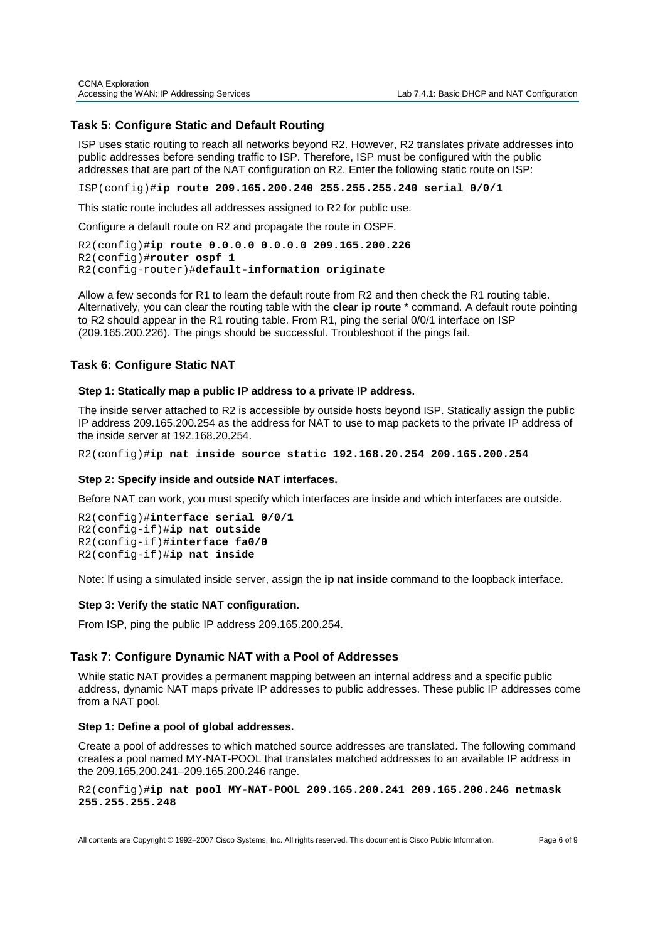## **Task 5: Configure Static and Default Routing**

ISP uses static routing to reach all networks beyond R2. However, R2 translates private addresses into public addresses before sending traffic to ISP. Therefore, ISP must be configured with the public addresses that are part of the NAT configuration on R2. Enter the following static route on ISP:

ISP(config)#**ip route 209.165.200.240 255.255.255.240 serial 0/0/1**

This static route includes all addresses assigned to R2 for public use.

Configure a default route on R2 and propagate the route in OSPF.

```
R2(config)#ip route 0.0.0.0 0.0.0.0 209.165.200.226
R2(config)#router ospf 1 
R2(config-router)#default-information originate
```
Allow a few seconds for R1 to learn the default route from R2 and then check the R1 routing table. Alternatively, you can clear the routing table with the **clear ip route** \* command. A default route pointing to R2 should appear in the R1 routing table. From R1, ping the serial 0/0/1 interface on ISP (209.165.200.226). The pings should be successful. Troubleshoot if the pings fail.

## **Task 6: Configure Static NAT**

## **Step 1: Statically map a public IP address to a private IP address.**

The inside server attached to R2 is accessible by outside hosts beyond ISP. Statically assign the public IP address 209.165.200.254 as the address for NAT to use to map packets to the private IP address of the inside server at 192.168.20.254.

R2(config)#**ip nat inside source static 192.168.20.254 209.165.200.254**

#### **Step 2: Specify inside and outside NAT interfaces.**

Before NAT can work, you must specify which interfaces are inside and which interfaces are outside.

```
R2(config)#interface serial 0/0/1
R2(config-if)#ip nat outside
R2(config-if)#interface fa0/0
R2(config-if)#ip nat inside
```
Note: If using a simulated inside server, assign the **ip nat inside** command to the loopback interface.

#### **Step 3: Verify the static NAT configuration.**

From ISP, ping the public IP address 209.165.200.254.

## **Task 7: Configure Dynamic NAT with a Pool of Addresses**

While static NAT provides a permanent mapping between an internal address and a specific public address, dynamic NAT maps private IP addresses to public addresses. These public IP addresses come from a NAT pool.

#### **Step 1: Define a pool of global addresses.**

Create a pool of addresses to which matched source addresses are translated. The following command creates a pool named MY-NAT-POOL that translates matched addresses to an available IP address in the 209.165.200.241–209.165.200.246 range.

R2(config)#**ip nat pool MY-NAT-POOL 209.165.200.241 209.165.200.246 netmask 255.255.255.248**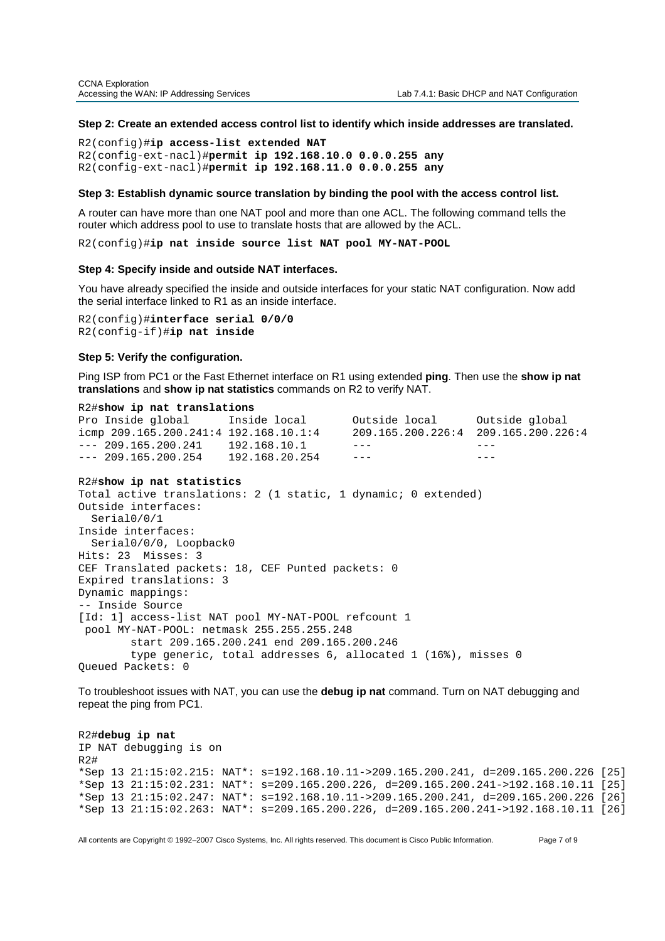#### **Step 2: Create an extended access control list to identify which inside addresses are translated.**

R2(config)#**ip access-list extended NAT**  R2(config-ext-nacl)#**permit ip 192.168.10.0 0.0.0.255 any**  R2(config-ext-nacl)#**permit ip 192.168.11.0 0.0.0.255 any** 

## **Step 3: Establish dynamic source translation by binding the pool with the access control list.**

A router can have more than one NAT pool and more than one ACL. The following command tells the router which address pool to use to translate hosts that are allowed by the ACL.

R2(config)#**ip nat inside source list NAT pool MY-NAT-POOL** 

#### **Step 4: Specify inside and outside NAT interfaces.**

You have already specified the inside and outside interfaces for your static NAT configuration. Now add the serial interface linked to R1 as an inside interface.

R2(config)#**interface serial 0/0/0** R2(config-if)#**ip nat inside**

#### **Step 5: Verify the configuration.**

Ping ISP from PC1 or the Fast Ethernet interface on R1 using extended **ping**. Then use the **show ip nat translations** and **show ip nat statistics** commands on R2 to verify NAT.

#### R2#**show ip nat translations**

Pro Inside global Inside local Outside local Outside global icmp 209.165.200.241:4 192.168.10.1:4 209.165.200.226:4 209.165.200.226:4 --- 209.165.200.241 192.168.10.1 --- --- --- --- $--- 209.165.200.254$   $192.168.20.254$   $---$ 

#### R2#**show ip nat statistics**

Total active translations: 2 (1 static, 1 dynamic; 0 extended) Outside interfaces: Serial0/0/1 Inside interfaces: Serial0/0/0, Loopback0 Hits: 23 Misses: 3 CEF Translated packets: 18, CEF Punted packets: 0 Expired translations: 3 Dynamic mappings: -- Inside Source [Id: 1] access-list NAT pool MY-NAT-POOL refcount 1 pool MY-NAT-POOL: netmask 255.255.255.248 start 209.165.200.241 end 209.165.200.246 type generic, total addresses 6, allocated 1 (16%), misses 0 Queued Packets: 0

To troubleshoot issues with NAT, you can use the **debug ip nat** command. Turn on NAT debugging and repeat the ping from PC1.

R2#**debug ip nat**  IP NAT debugging is on R2# \*Sep 13 21:15:02.215: NAT\*: s=192.168.10.11->209.165.200.241, d=209.165.200.226 [25] \*Sep 13 21:15:02.231: NAT\*: s=209.165.200.226, d=209.165.200.241->192.168.10.11 [25] \*Sep 13 21:15:02.247: NAT\*: s=192.168.10.11->209.165.200.241, d=209.165.200.226 [26] \*Sep 13 21:15:02.263: NAT\*: s=209.165.200.226, d=209.165.200.241->192.168.10.11 [26]

All contents are Copyright © 1992–2007 Cisco Systems, Inc. All rights reserved. This document is Cisco Public Information. Page 7 of 9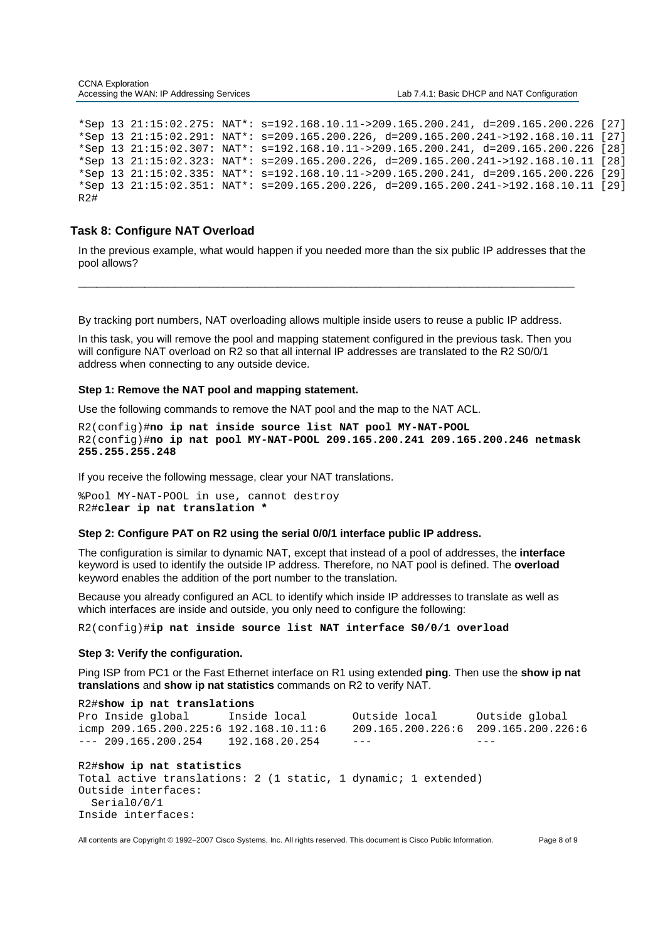\*Sep 13 21:15:02.275: NAT\*: s=192.168.10.11->209.165.200.241, d=209.165.200.226 [27] \*Sep 13 21:15:02.291: NAT\*: s=209.165.200.226, d=209.165.200.241->192.168.10.11 [27] \*Sep 13 21:15:02.307: NAT\*: s=192.168.10.11->209.165.200.241, d=209.165.200.226 [28] \*Sep 13 21:15:02.323: NAT\*: s=209.165.200.226, d=209.165.200.241->192.168.10.11 [28] \*Sep 13 21:15:02.335: NAT\*: s=192.168.10.11->209.165.200.241, d=209.165.200.226 [29] \*Sep 13 21:15:02.351: NAT\*: s=209.165.200.226, d=209.165.200.241->192.168.10.11 [29] R2#

## **Task 8: Configure NAT Overload**

In the previous example, what would happen if you needed more than the six public IP addresses that the pool allows?

\_\_\_\_\_\_\_\_\_\_\_\_\_\_\_\_\_\_\_\_\_\_\_\_\_\_\_\_\_\_\_\_\_\_\_\_\_\_\_\_\_\_\_\_\_\_\_\_\_\_\_\_\_\_\_\_\_\_\_\_\_\_\_\_\_\_\_\_\_\_\_\_\_\_\_\_\_\_\_\_\_\_

By tracking port numbers, NAT overloading allows multiple inside users to reuse a public IP address.

In this task, you will remove the pool and mapping statement configured in the previous task. Then you will configure NAT overload on R2 so that all internal IP addresses are translated to the R2 S0/0/1 address when connecting to any outside device.

## **Step 1: Remove the NAT pool and mapping statement.**

Use the following commands to remove the NAT pool and the map to the NAT ACL.

R2(config)#**no ip nat inside source list NAT pool MY-NAT-POOL**  R2(config)#**no ip nat pool MY-NAT-POOL 209.165.200.241 209.165.200.246 netmask 255.255.255.248**

If you receive the following message, clear your NAT translations.

%Pool MY-NAT-POOL in use, cannot destroy R2#**clear ip nat translation \***

## **Step 2: Configure PAT on R2 using the serial 0/0/1 interface public IP address.**

The configuration is similar to dynamic NAT, except that instead of a pool of addresses, the **interface** keyword is used to identify the outside IP address. Therefore, no NAT pool is defined. The **overload** keyword enables the addition of the port number to the translation.

Because you already configured an ACL to identify which inside IP addresses to translate as well as which interfaces are inside and outside, you only need to configure the following:

R2(config)#**ip nat inside source list NAT interface S0/0/1 overload** 

#### **Step 3: Verify the configuration.**

Ping ISP from PC1 or the Fast Ethernet interface on R1 using extended **ping**. Then use the **show ip nat translations** and **show ip nat statistics** commands on R2 to verify NAT.

R2#**show ip nat translations** Pro Inside global Inside local 0utside local 0utside global<br>icmp 209.165.200.225:6 192.168.10.11:6 209.165.200.226:6 209.165.200.226:6 icmp  $209.165.200.225:6$   $192.168.10.11:6$  $--- 209.165.200.254 192.168.20.254 ---$ R2#**show ip nat statistics** Total active translations: 2 (1 static, 1 dynamic; 1 extended) Outside interfaces: Serial0/0/1 Inside interfaces:

All contents are Copyright © 1992–2007 Cisco Systems, Inc. All rights reserved. This document is Cisco Public Information. Page 8 of 9